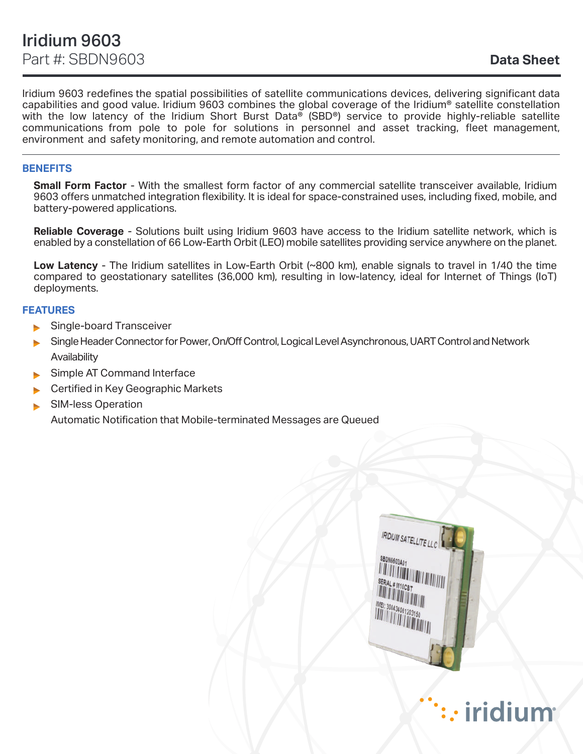Iridium 9603 redefines the spatial possibilities of satellite communications devices, delivering significant data capabilities and good value. Iridium 9603 combines the global coverage of the Iridium® satellite constellation with the low latency of the Iridium Short Burst Data® (SBD®) service to provide highly-reliable satellite communications from pole to pole for solutions in personnel and asset tracking, fleet management, environment and safety monitoring, and remote automation and control.

# **BENEFITS**

**Small Form Factor** - With the smallest form factor of any commercial satellite transceiver available, Iridium 9603 offers unmatched integration flexibility. It is ideal for space-constrained uses, including fixed, mobile, and battery-powered applications.

**Reliable Coverage** - Solutions built using Iridium 9603 have access to the Iridium satellite network, which is enabled by a constellation of 66 Low-Earth Orbit (LEO) mobile satellites providing service anywhere on the planet.

**Low Latency** - The Iridium satellites in Low-Earth Orbit (~800 km), enable signals to travel in 1/40 the time compared to geostationary satellites (36,000 km), resulting in low-latency, ideal for Internet of Things (IoT) deployments.

## **FEATURES**

- Single-board Transceiver
- Single Header Connector for Power, On/Off Control, Logical Level Asynchronous, UART Control and Network **Availability**
- Simple AT Command Interface
- Certified in Key Geographic Markets
- SIM-less Operation

Automatic Notification that Mobile-terminated Messages are Queued

**IRIDIUM SATELLITE LLC**